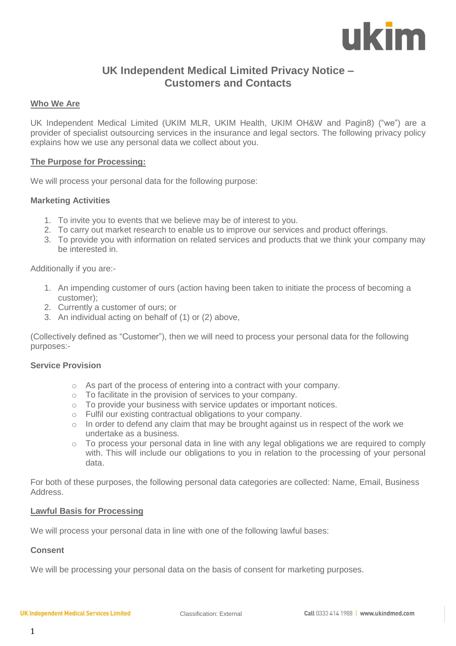

# **UK Independent Medical Limited Privacy Notice – Customers and Contacts**

# **Who We Are**

UK Independent Medical Limited (UKIM MLR, UKIM Health, UKIM OH&W and Pagin8) ("we") are a provider of specialist outsourcing services in the insurance and legal sectors. The following privacy policy explains how we use any personal data we collect about you.

# **The Purpose for Processing:**

We will process your personal data for the following purpose:

# **Marketing Activities**

- 1. To invite you to events that we believe may be of interest to you.
- 2. To carry out market research to enable us to improve our services and product offerings.
- 3. To provide you with information on related services and products that we think your company may be interested in.

#### Additionally if you are:-

- 1. An impending customer of ours (action having been taken to initiate the process of becoming a customer);
- 2. Currently a customer of ours; or
- 3. An individual acting on behalf of (1) or (2) above,

(Collectively defined as "Customer"), then we will need to process your personal data for the following purposes:-

#### **Service Provision**

- o As part of the process of entering into a contract with your company.
- o To facilitate in the provision of services to your company.
- o To provide your business with service updates or important notices.
- o Fulfil our existing contractual obligations to your company.
- o In order to defend any claim that may be brought against us in respect of the work we undertake as a business.
- $\circ$  To process your personal data in line with any legal obligations we are required to comply with. This will include our obligations to you in relation to the processing of your personal data.

For both of these purposes, the following personal data categories are collected: Name, Email, Business Address.

#### **Lawful Basis for Processing**

We will process your personal data in line with one of the following lawful bases:

# **Consent**

We will be processing your personal data on the basis of consent for marketing purposes.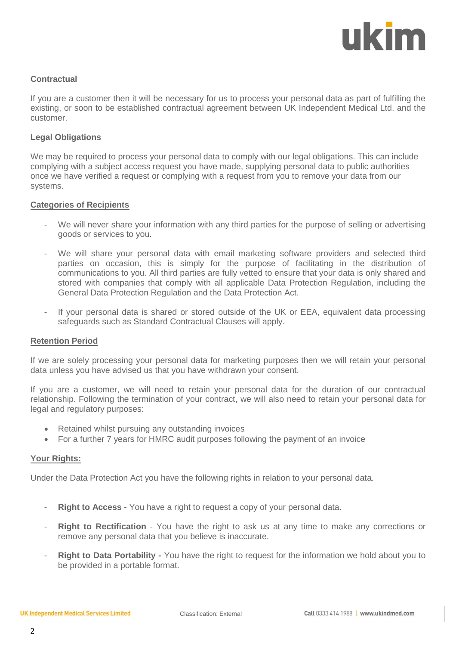# ukim

# **Contractual**

If you are a customer then it will be necessary for us to process your personal data as part of fulfilling the existing, or soon to be established contractual agreement between UK Independent Medical Ltd. and the customer.

# **Legal Obligations**

We may be required to process your personal data to comply with our legal obligations. This can include complying with a subject access request you have made, supplying personal data to public authorities once we have verified a request or complying with a request from you to remove your data from our systems.

# **Categories of Recipients**

- We will never share your information with any third parties for the purpose of selling or advertising goods or services to you.
- We will share your personal data with email marketing software providers and selected third parties on occasion, this is simply for the purpose of facilitating in the distribution of communications to you. All third parties are fully vetted to ensure that your data is only shared and stored with companies that comply with all applicable Data Protection Regulation, including the General Data Protection Regulation and the Data Protection Act.
- If your personal data is shared or stored outside of the UK or EEA, equivalent data processing safeguards such as Standard Contractual Clauses will apply.

# **Retention Period**

If we are solely processing your personal data for marketing purposes then we will retain your personal data unless you have advised us that you have withdrawn your consent.

If you are a customer, we will need to retain your personal data for the duration of our contractual relationship. Following the termination of your contract, we will also need to retain your personal data for legal and regulatory purposes:

- Retained whilst pursuing any outstanding invoices
- For a further 7 years for HMRC audit purposes following the payment of an invoice

# **Your Rights:**

Under the Data Protection Act you have the following rights in relation to your personal data.

- **Right to Access -** You have a right to request a copy of your personal data.
- **Right to Rectification** You have the right to ask us at any time to make any corrections or remove any personal data that you believe is inaccurate.
- Right to Data Portability You have the right to request for the information we hold about you to be provided in a portable format.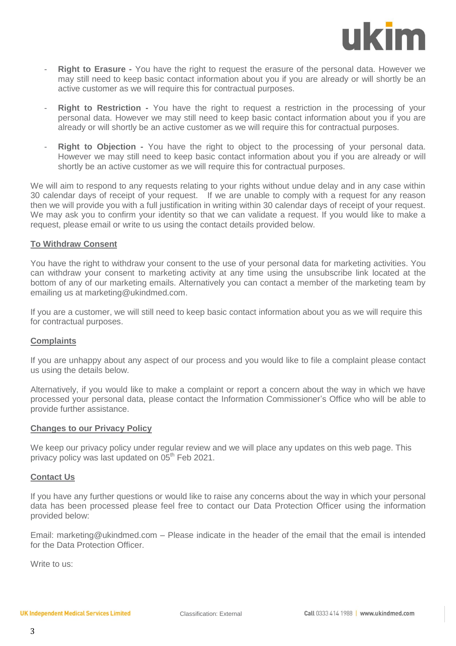

- **Right to Erasure** You have the right to request the erasure of the personal data. However we may still need to keep basic contact information about you if you are already or will shortly be an active customer as we will require this for contractual purposes.
- **Right to Restriction -** You have the right to request a restriction in the processing of your personal data. However we may still need to keep basic contact information about you if you are already or will shortly be an active customer as we will require this for contractual purposes.
- **Right to Objection -** You have the right to object to the processing of your personal data. However we may still need to keep basic contact information about you if you are already or will shortly be an active customer as we will require this for contractual purposes.

We will aim to respond to any requests relating to your rights without undue delay and in any case within 30 calendar days of receipt of your request. If we are unable to comply with a request for any reason then we will provide you with a full justification in writing within 30 calendar days of receipt of your request. We may ask you to confirm your identity so that we can validate a request. If you would like to make a request, please email or write to us using the contact details provided below.

#### **To Withdraw Consent**

You have the right to withdraw your consent to the use of your personal data for marketing activities. You can withdraw your consent to marketing activity at any time using the unsubscribe link located at the bottom of any of our marketing emails. Alternatively you can contact a member of the marketing team by emailing us at marketing@ukindmed.com.

If you are a customer, we will still need to keep basic contact information about you as we will require this for contractual purposes.

# **Complaints**

If you are unhappy about any aspect of our process and you would like to file a complaint please contact us using the details below.

Alternatively, if you would like to make a complaint or report a concern about the way in which we have processed your personal data, please contact the Information Commissioner's Office who will be able to provide further assistance.

#### **Changes to our Privacy Policy**

We keep our privacy policy under regular review and we will place any updates on this web page. This privacy policy was last updated on  $05<sup>th</sup>$  Feb 2021.

#### **Contact Us**

If you have any further questions or would like to raise any concerns about the way in which your personal data has been processed please feel free to contact our Data Protection Officer using the information provided below:

Email: marketing@ukindmed.com – Please indicate in the header of the email that the email is intended for the Data Protection Officer

Write to us: